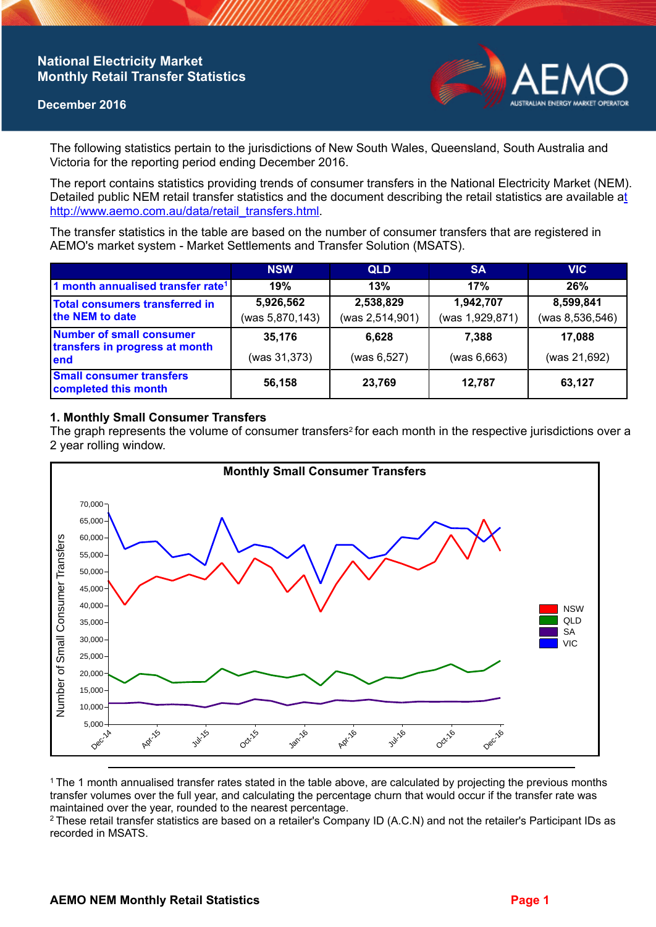## **National Electricity Market Monthly Retail Transfer Statistics**

### **December 2016**



The following statistics pertain to the jurisdictions of New South Wales, Queensland, South Australia and Victoria for the reporting period ending December 2016.

The report contains statistics providing trends of consumer transfers in the National Electricity Market (NEM). Detailed public NEM retail transfer statistics and the document describing the retail statistics are available a[t](http://www.aemo.com.au/data/retail_transfers.html)  http://www.aemo.com.au/data/retail\_transfers.html

The transfer statistics in the table are based on the number of consumer transfers that are registered in AEMO's market system - Market Settlements and Transfer Solution (MSATS).

|                                                                           | <b>NSW</b>      | <b>QLD</b>      | <b>SA</b>       | <b>VIC</b>        |
|---------------------------------------------------------------------------|-----------------|-----------------|-----------------|-------------------|
| 1 month annualised transfer rate <sup>1</sup>                             | 19%             | 13%             | 17%             | 26%               |
| Total consumers transferred in<br>the NEM to date                         | 5,926,562       | 2,538,829       | 1,942,707       | 8,599,841         |
|                                                                           | (was 5,870,143) | (was 2,514,901) | (was 1,929,871) | (was 8, 536, 546) |
| <b>Number of small consumer</b><br>transfers in progress at month<br>lend | 35,176          | 6.628           | 7.388           | 17.088            |
|                                                                           | (was 31,373)    | (was 6,527)     | (was 6,663)     | (was 21,692)      |
| <b>Small consumer transfers</b><br>completed this month                   | 56,158          | 23,769          | 12,787          | 63,127            |

### **1. Monthly Small Consumer Transfers**

The graph represents the volume of consumer transfers<sup>2</sup> for each month in the respective jurisdictions over a 2 year rolling window.



<sup>1</sup>The 1 month annualised transfer rates stated in the table above, are calculated by projecting the previous months transfer volumes over the full year, and calculating the percentage churn that would occur if the transfer rate was maintained over the year, rounded to the nearest percentage.

<sup>2</sup> These retail transfer statistics are based on a retailer's Company ID (A.C.N) and not the retailer's Participant IDs as recorded in MSATS.